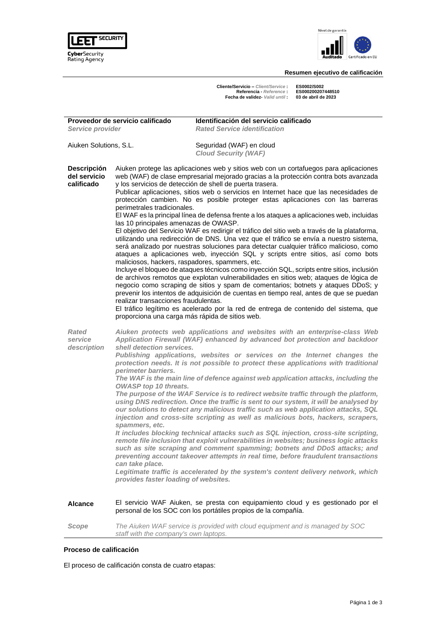



# **Resumen ejecutivo de calificación**

Cliente/Servicio – Client/Service : ES0002/S002<br>Referencia - Reference : ES000200207448510<br>Fecha de validez- Valid until : 03 de abril de 2023

| Proveedor de servicio calificado<br>Service provider |                                                                                                                                                                                                                    | Identificación del servicio calificado<br><b>Rated Service identification</b>                                                                                                                                                                                                                                                                                                                                                                                                                                                                                                                                                                                                                                                                                                                                                                                                                                                                                                                                                                                                                                                                                                                                                                                                                                                                          |
|------------------------------------------------------|--------------------------------------------------------------------------------------------------------------------------------------------------------------------------------------------------------------------|--------------------------------------------------------------------------------------------------------------------------------------------------------------------------------------------------------------------------------------------------------------------------------------------------------------------------------------------------------------------------------------------------------------------------------------------------------------------------------------------------------------------------------------------------------------------------------------------------------------------------------------------------------------------------------------------------------------------------------------------------------------------------------------------------------------------------------------------------------------------------------------------------------------------------------------------------------------------------------------------------------------------------------------------------------------------------------------------------------------------------------------------------------------------------------------------------------------------------------------------------------------------------------------------------------------------------------------------------------|
| Aiuken Solutions, S.L.                               |                                                                                                                                                                                                                    | Seguridad (WAF) en cloud<br><b>Cloud Security (WAF)</b>                                                                                                                                                                                                                                                                                                                                                                                                                                                                                                                                                                                                                                                                                                                                                                                                                                                                                                                                                                                                                                                                                                                                                                                                                                                                                                |
| <b>Descripción</b><br>del servicio<br>calificado     | perimetrales tradicionales.<br>las 10 principales amenazas de OWASP.<br>maliciosos, hackers, raspadores, spammers, etc.<br>realizar transacciones fraudulentas.<br>proporciona una carga más rápida de sitios web. | Aiuken protege las aplicaciones web y sitios web con un cortafuegos para aplicaciones<br>web (WAF) de clase empresarial mejorado gracias a la protección contra bots avanzada<br>y los servicios de detección de shell de puerta trasera.<br>Publicar aplicaciones, sitios web o servicios en Internet hace que las necesidades de<br>protección cambien. No es posible proteger estas aplicaciones con las barreras<br>El WAF es la principal línea de defensa frente a los ataques a aplicaciones web, incluidas<br>El objetivo del Servicio WAF es redirigir el tráfico del sitio web a través de la plataforma,<br>utilizando una redirección de DNS. Una vez que el tráfico se envía a nuestro sistema,<br>será analizado por nuestras soluciones para detectar cualquier tráfico malicioso, como<br>ataques a aplicaciones web, inyección SQL y scripts entre sitios, así como bots<br>Incluye el bloqueo de ataques técnicos como inyección SQL, scripts entre sitios, inclusión<br>de archivos remotos que explotan vulnerabilidades en sitios web; ataques de lógica de<br>negocio como scraping de sitios y spam de comentarios; botnets y ataques DDoS; y<br>prevenir los intentos de adquisición de cuentas en tiempo real, antes de que se puedan<br>El tráfico legítimo es acelerado por la red de entrega de contenido del sistema, que |
| Rated<br>service<br>description                      | shell detection services.<br>perimeter barriers.<br>OWASP top 10 threats.<br>spammers, etc.<br>can take place.<br>provides faster loading of websites.                                                             | Aiuken protects web applications and websites with an enterprise-class Web<br>Application Firewall (WAF) enhanced by advanced bot protection and backdoor<br>Publishing applications, websites or services on the Internet changes the<br>protection needs. It is not possible to protect these applications with traditional<br>The WAF is the main line of defence against web application attacks, including the<br>The purpose of the WAF Service is to redirect website traffic through the platform,<br>using DNS redirection. Once the traffic is sent to our system, it will be analysed by<br>our solutions to detect any malicious traffic such as web application attacks, SQL<br>injection and cross-site scripting as well as malicious bots, hackers, scrapers,<br>It includes blocking technical attacks such as SQL injection, cross-site scripting,<br>remote file inclusion that exploit vulnerabilities in websites; business logic attacks<br>such as site scraping and comment spamming; botnets and DDoS attacks; and<br>preventing account takeover attempts in real time, before fraudulent transactions<br>Legitimate traffic is accelerated by the system's content delivery network, which                                                                                                                                  |
| Alcance                                              |                                                                                                                                                                                                                    | El servicio WAF Aiuken, se presta con equipamiento cloud y es gestionado por el<br>personal de los SOC con los portátiles propios de la compañía.                                                                                                                                                                                                                                                                                                                                                                                                                                                                                                                                                                                                                                                                                                                                                                                                                                                                                                                                                                                                                                                                                                                                                                                                      |
| Scope                                                | staff with the company's own laptops.                                                                                                                                                                              | The Aiuken WAF service is provided with cloud equipment and is managed by SOC                                                                                                                                                                                                                                                                                                                                                                                                                                                                                                                                                                                                                                                                                                                                                                                                                                                                                                                                                                                                                                                                                                                                                                                                                                                                          |

## **Proceso de calificación**

El proceso de calificación consta de cuatro etapas: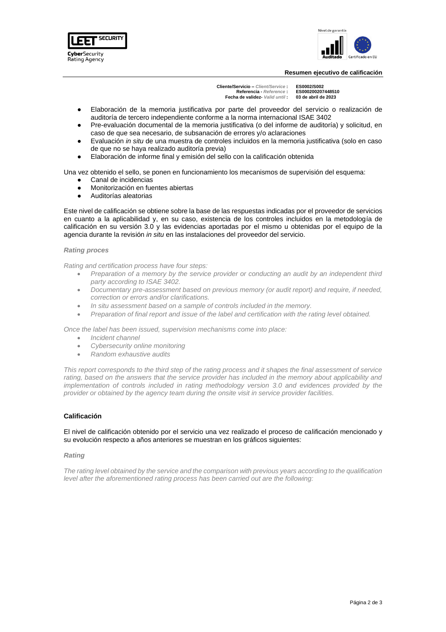



#### **Resumen ejecutivo de calificación**

**Cliente/Servicio –** *Client/Service* **: ES0002/S002 Referencia -** *Reference* **: ES0002002074485**<br>**a** de validez- *Valid until* : 03 de abril de 2021 **Fecha de validez-** *Valid until* :

- Elaboración de la memoria justificativa por parte del proveedor del servicio o realización de auditoría de tercero independiente conforme a la norma internacional ISAE 3402
- Pre-evaluación documental de la memoria justificativa (o del informe de auditoría) y solicitud, en caso de que sea necesario, de subsanación de errores y/o aclaraciones
- Evaluación *in situ* de una muestra de controles incluidos en la memoria justificativa (solo en caso de que no se haya realizado auditoría previa)
- Elaboración de informe final y emisión del sello con la calificación obtenida

Una vez obtenido el sello, se ponen en funcionamiento los mecanismos de supervisión del esquema:

- Canal de incidencias
- Monitorización en fuentes abiertas
- Auditorías aleatorias

Este nivel de calificación se obtiene sobre la base de las respuestas indicadas por el proveedor de servicios en cuanto a la aplicabilidad y, en su caso, existencia de los controles incluidos en la metodología de calificación en su versión 3.0 y las evidencias aportadas por el mismo u obtenidas por el equipo de la agencia durante la revisión *in situ* en las instalaciones del proveedor del servicio.

### *Rating proces*

*Rating and certification process have four steps:*

- *Preparation of a memory by the service provider or conducting an audit by an independent third party according to ISAE 3402.*
- *Documentary pre-assessment based on previous memory (or audit report) and require, if needed, correction or errors and/or clarifications.*
- *In situ assessment based on a sample of controls included in the memory.*
- *Preparation of final report and issue of the label and certification with the rating level obtained.*

*Once the label has been issued, supervision mechanisms come into place:*

- *Incident channel*
- *Cybersecurity online monitoring*
- *Random exhaustive audits*

*This report corresponds to the third step of the rating process and it shapes the final assessment of service*  rating, based on the answers that the service provider has included in the memory about applicability and *implementation of controls included in rating methodology version 3.0 and evidences provided by the provider or obtained by the agency team during the onsite visit in service provider facilities.*

# **Calificación**

El nivel de calificación obtenido por el servicio una vez realizado el proceso de calificación mencionado y su evolución respecto a años anteriores se muestran en los gráficos siguientes:

## *Rating*

*The rating level obtained by the service and the comparison with previous years according to the qualification level after the aforementioned rating process has been carried out are the following:*